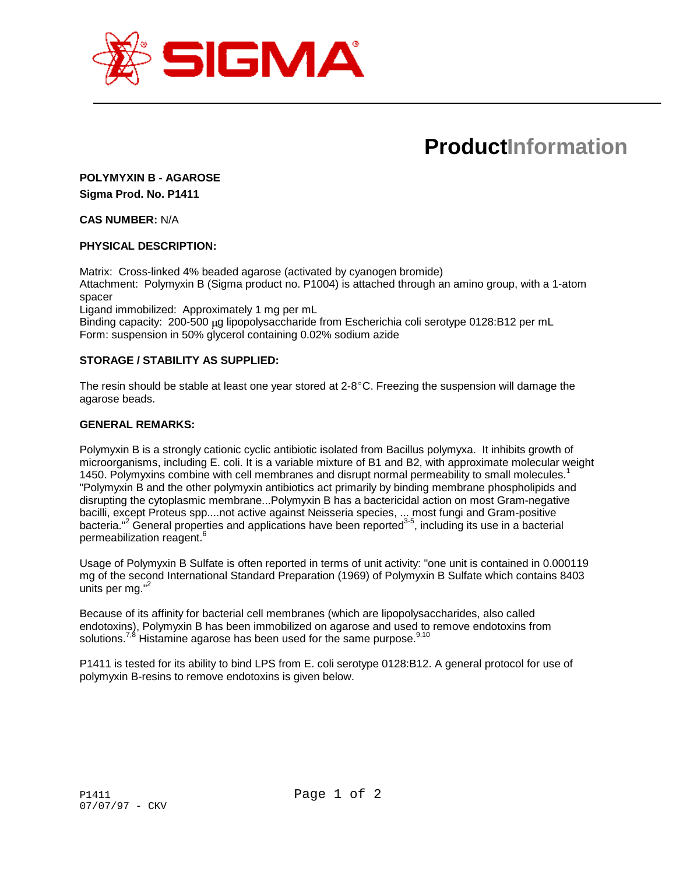

# **ProductInformation**

## **POLYMYXIN B - AGAROSE Sigma Prod. No. P1411**

**CAS NUMBER:** N/A

## **PHYSICAL DESCRIPTION:**

Matrix: Cross-linked 4% beaded agarose (activated by cyanogen bromide) Attachment: Polymyxin B (Sigma product no. P1004) is attached through an amino group, with a 1-atom spacer

Ligand immobilized: Approximately 1 mg per mL

Binding capacity: 200-500 µg lipopolysaccharide from Escherichia coli serotype 0128:B12 per mL Form: suspension in 50% glycerol containing 0.02% sodium azide

## **STORAGE / STABILITY AS SUPPLIED:**

The resin should be stable at least one year stored at  $2.8^{\circ}$ C. Freezing the suspension will damage the agarose beads.

#### **GENERAL REMARKS:**

Polymyxin B is a strongly cationic cyclic antibiotic isolated from Bacillus polymyxa. It inhibits growth of microorganisms, including E. coli. It is a variable mixture of B1 and B2, with approximate molecular weight 1450. Polymyxins combine with cell membranes and disrupt normal permeability to small molecules.<sup>1</sup> "Polymyxin B and the other polymyxin antibiotics act primarily by binding membrane phospholipids and disrupting the cytoplasmic membrane...Polymyxin B has a bactericidal action on most Gram-negative bacilli, except Proteus spp....not active against Neisseria species, ... most fungi and Gram-positive bacteria."<sup>2</sup> General properties and applications have been reported<sup>3-5</sup>, including its use in a bacterial permeabilization reagent.<sup>6</sup>

Usage of Polymyxin B Sulfate is often reported in terms of unit activity: "one unit is contained in 0.000119 mg of the second International Standard Preparation (1969) of Polymyxin B Sulfate which contains 8403 units per mg."<sup>2</sup>

Because of its affinity for bacterial cell membranes (which are lipopolysaccharides, also called endotoxins), Polymyxin B has been immobilized on agarose and used to remove endotoxins from solutions.<sup>7,8</sup> Histamine agarose has been used for the same purpose.<sup>9,10</sup>

P1411 is tested for its ability to bind LPS from E. coli serotype 0128:B12. A general protocol for use of polymyxin B-resins to remove endotoxins is given below.